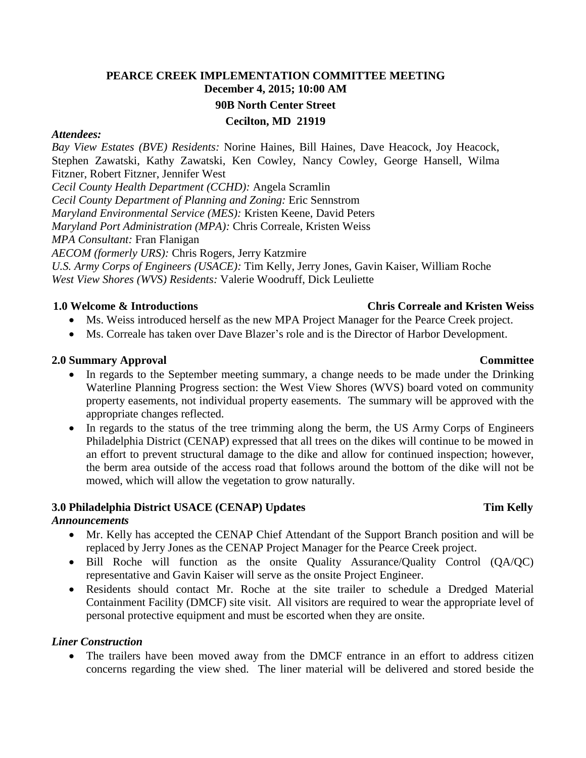# **PEARCE CREEK IMPLEMENTATION COMMITTEE MEETING December 4, 2015; 10:00 AM 90B North Center Street Cecilton, MD 21919**

### *Attendees:*

*Bay View Estates (BVE) Residents:* Norine Haines, Bill Haines, Dave Heacock, Joy Heacock, Stephen Zawatski, Kathy Zawatski, Ken Cowley, Nancy Cowley, George Hansell, Wilma Fitzner, Robert Fitzner, Jennifer West

*Cecil County Health Department (CCHD):* Angela Scramlin

*Cecil County Department of Planning and Zoning:* Eric Sennstrom

*Maryland Environmental Service (MES):* Kristen Keene, David Peters

*Maryland Port Administration (MPA):* Chris Correale, Kristen Weiss

*MPA Consultant:* Fran Flanigan

*AECOM (formerly URS):* Chris Rogers, Jerry Katzmire

*U.S. Army Corps of Engineers (USACE):* Tim Kelly, Jerry Jones, Gavin Kaiser, William Roche *West View Shores (WVS) Residents:* Valerie Woodruff, Dick Leuliette

### **1.0 Welcome & Introductions Chris Correale and Kristen Weiss**

- Ms. Weiss introduced herself as the new MPA Project Manager for the Pearce Creek project.
- Ms. Correale has taken over Dave Blazer's role and is the Director of Harbor Development.

### **2.0 Summary Approval Committee**

- In regards to the September meeting summary, a change needs to be made under the Drinking Waterline Planning Progress section: the West View Shores (WVS) board voted on community property easements, not individual property easements. The summary will be approved with the appropriate changes reflected.
- In regards to the status of the tree trimming along the berm, the US Army Corps of Engineers Philadelphia District (CENAP) expressed that all trees on the dikes will continue to be mowed in an effort to prevent structural damage to the dike and allow for continued inspection; however, the berm area outside of the access road that follows around the bottom of the dike will not be mowed, which will allow the vegetation to grow naturally.

## **3.0 Philadelphia District USACE (CENAP) Updates Tim Kelly**

## *Announcements*

- Mr. Kelly has accepted the CENAP Chief Attendant of the Support Branch position and will be replaced by Jerry Jones as the CENAP Project Manager for the Pearce Creek project.
- Bill Roche will function as the onsite Quality Assurance/Quality Control (QA/QC) representative and Gavin Kaiser will serve as the onsite Project Engineer.
- Residents should contact Mr. Roche at the site trailer to schedule a Dredged Material Containment Facility (DMCF) site visit. All visitors are required to wear the appropriate level of personal protective equipment and must be escorted when they are onsite.

## *Liner Construction*

• The trailers have been moved away from the DMCF entrance in an effort to address citizen concerns regarding the view shed. The liner material will be delivered and stored beside the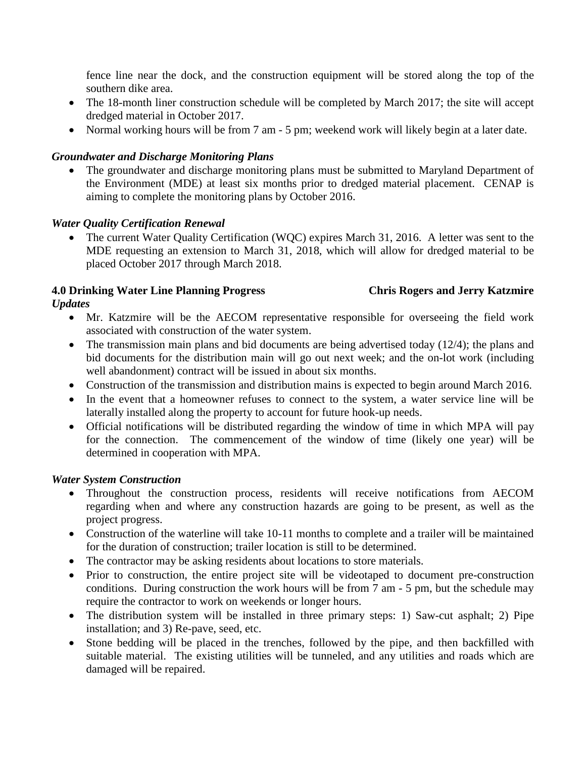fence line near the dock, and the construction equipment will be stored along the top of the southern dike area.

- The 18-month liner construction schedule will be completed by March 2017; the site will accept dredged material in October 2017.
- Normal working hours will be from 7 am 5 pm; weekend work will likely begin at a later date.

## *Groundwater and Discharge Monitoring Plans*

 The groundwater and discharge monitoring plans must be submitted to Maryland Department of the Environment (MDE) at least six months prior to dredged material placement. CENAP is aiming to complete the monitoring plans by October 2016.

## *Water Quality Certification Renewal*

• The current Water Quality Certification (WQC) expires March 31, 2016. A letter was sent to the MDE requesting an extension to March 31, 2018, which will allow for dredged material to be placed October 2017 through March 2018.

# **4.0 Drinking Water Line Planning Progress Chris Rogers and Jerry Katzmire**

## *Updates*

- Mr. Katzmire will be the AECOM representative responsible for overseeing the field work associated with construction of the water system.
- The transmission main plans and bid documents are being advertised today (12/4); the plans and bid documents for the distribution main will go out next week; and the on-lot work (including well abandonment) contract will be issued in about six months.
- Construction of the transmission and distribution mains is expected to begin around March 2016.
- In the event that a homeowner refuses to connect to the system, a water service line will be laterally installed along the property to account for future hook-up needs.
- Official notifications will be distributed regarding the window of time in which MPA will pay for the connection. The commencement of the window of time (likely one year) will be determined in cooperation with MPA.

## *Water System Construction*

- Throughout the construction process, residents will receive notifications from AECOM regarding when and where any construction hazards are going to be present, as well as the project progress.
- Construction of the waterline will take 10-11 months to complete and a trailer will be maintained for the duration of construction; trailer location is still to be determined.
- The contractor may be asking residents about locations to store materials.
- Prior to construction, the entire project site will be videotaped to document pre-construction conditions. During construction the work hours will be from 7 am - 5 pm, but the schedule may require the contractor to work on weekends or longer hours.
- The distribution system will be installed in three primary steps: 1) Saw-cut asphalt; 2) Pipe installation; and 3) Re-pave, seed, etc.
- Stone bedding will be placed in the trenches, followed by the pipe, and then backfilled with suitable material. The existing utilities will be tunneled, and any utilities and roads which are damaged will be repaired.